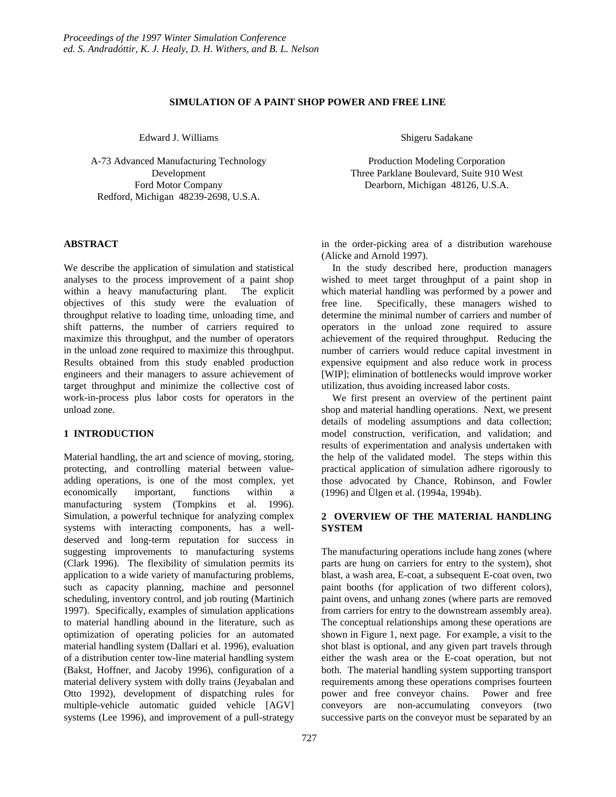# **SIMULATION OF A PAINT SHOP POWER AND FREE LINE**

Edward J. Williams

A-73 Advanced Manufacturing Technology Development Ford Motor Company Redford, Michigan 48239-2698, U.S.A.

## **ABSTRACT**

We describe the application of simulation and statistical analyses to the process improvement of a paint shop within a heavy manufacturing plant. The explicit objectives of this study were the evaluation of throughput relative to loading time, unloading time, and shift patterns, the number of carriers required to maximize this throughput, and the number of operators in the unload zone required to maximize this throughput. Results obtained from this study enabled production engineers and their managers to assure achievement of target throughput and minimize the collective cost of work-in-process plus labor costs for operators in the unload zone.

## **1 INTRODUCTION**

Material handling, the art and science of moving, storing, protecting, and controlling material between valueadding operations, is one of the most complex, yet economically important, functions within a manufacturing system (Tompkins et al. 1996). Simulation, a powerful technique for analyzing complex systems with interacting components, has a welldeserved and long-term reputation for success in suggesting improvements to manufacturing systems (Clark 1996). The flexibility of simulation permits its application to a wide variety of manufacturing problems, such as capacity planning, machine and personnel scheduling, inventory control, and job routing (Martinich 1997). Specifically, examples of simulation applications to material handling abound in the literature, such as optimization of operating policies for an automated material handling system (Dallari et al. 1996), evaluation of a distribution center tow-line material handling system (Bakst, Hoffner, and Jacoby 1996), configuration of a material delivery system with dolly trains (Jeyabalan and Otto 1992), development of dispatching rules for multiple-vehicle automatic guided vehicle [AGV] systems (Lee 1996), and improvement of a pull-strategy

Shigeru Sadakane

Production Modeling Corporation Three Parklane Boulevard, Suite 910 West Dearborn, Michigan 48126, U.S.A.

in the order-picking area of a distribution warehouse (Alicke and Arnold 1997).

In the study described here, production managers wished to meet target throughput of a paint shop in which material handling was performed by a power and free line. Specifically, these managers wished to determine the minimal number of carriers and number of operators in the unload zone required to assure achievement of the required throughput. Reducing the number of carriers would reduce capital investment in expensive equipment and also reduce work in process [WIP]; elimination of bottlenecks would improve worker utilization, thus avoiding increased labor costs.

We first present an overview of the pertinent paint shop and material handling operations. Next, we present details of modeling assumptions and data collection; model construction, verification, and validation; and results of experimentation and analysis undertaken with the help of the validated model. The steps within this practical application of simulation adhere rigorously to those advocated by Chance, Robinson, and Fowler (1996) and Ülgen et al. (1994a, 1994b).

# **2 OVERVIEW OF THE MATERIAL HANDLING SYSTEM**

The manufacturing operations include hang zones (where parts are hung on carriers for entry to the system), shot blast, a wash area, E-coat, a subsequent E-coat oven, two paint booths (for application of two different colors), paint ovens, and unhang zones (where parts are removed from carriers for entry to the downstream assembly area). The conceptual relationships among these operations are shown in Figure 1, next page. For example, a visit to the shot blast is optional, and any given part travels through either the wash area or the E-coat operation, but not both. The material handling system supporting transport requirements among these operations comprises fourteen power and free conveyor chains. Power and free conveyors are non-accumulating conveyors (two successive parts on the conveyor must be separated by an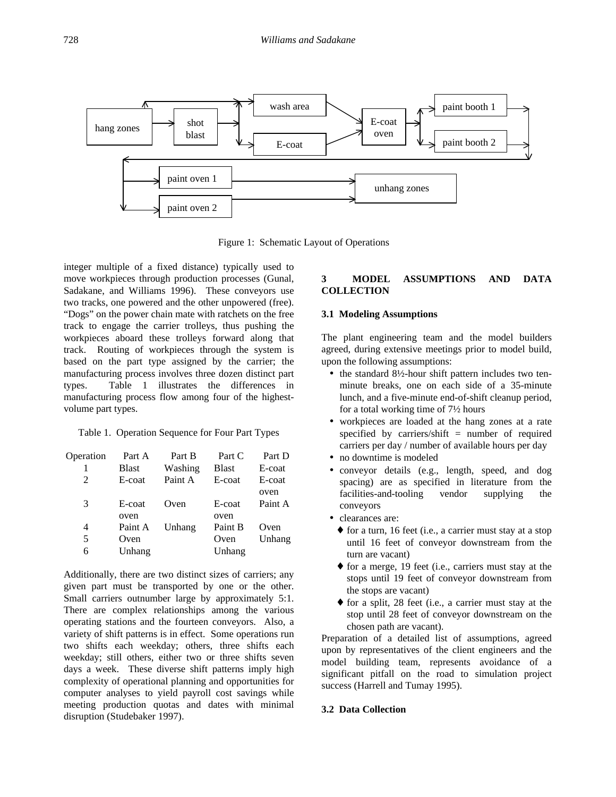

Figure 1: Schematic Layout of Operations

integer multiple of a fixed distance) typically used to move workpieces through production processes (Gunal, Sadakane, and Williams 1996). These conveyors use two tracks, one powered and the other unpowered (free). "Dogs" on the power chain mate with ratchets on the free track to engage the carrier trolleys, thus pushing the workpieces aboard these trolleys forward along that track. Routing of workpieces through the system is based on the part type assigned by the carrier; the manufacturing process involves three dozen distinct part types. Table 1 illustrates the differences in manufacturing process flow among four of the highestvolume part types.

Table 1. Operation Sequence for Four Part Types

| Operation      | Part A       | Part B  | Part C       | Part D  |
|----------------|--------------|---------|--------------|---------|
|                | <b>Blast</b> | Washing | <b>Blast</b> | E-coat  |
| $\mathfrak{D}$ | E-coat       | Paint A | E-coat       | E-coat  |
|                |              |         |              | oven    |
| 3              | E-coat       | Oven    | E-coat       | Paint A |
|                | oven         |         | oven         |         |
| 4              | Paint A      | Unhang  | Paint B      | Oven    |
| 5              | Oven         |         | Oven         | Unhang  |
| 6              | Unhang       |         | Unhang       |         |

Additionally, there are two distinct sizes of carriers; any given part must be transported by one or the other. Small carriers outnumber large by approximately 5:1. There are complex relationships among the various operating stations and the fourteen conveyors. Also, a variety of shift patterns is in effect. Some operations run two shifts each weekday; others, three shifts each weekday; still others, either two or three shifts seven days a week. These diverse shift patterns imply high complexity of operational planning and opportunities for computer analyses to yield payroll cost savings while meeting production quotas and dates with minimal disruption (Studebaker 1997).

# **3 MODEL ASSUMPTIONS AND DATA COLLECTION**

# **3.1 Modeling Assumptions**

The plant engineering team and the model builders agreed, during extensive meetings prior to model build, upon the following assumptions:

- the standard 8½-hour shift pattern includes two tenminute breaks, one on each side of a 35-minute lunch, and a five-minute end-of-shift cleanup period, for a total working time of 7½ hours
- workpieces are loaded at the hang zones at a rate specified by carriers/shift = number of required carriers per day / number of available hours per day
- no downtime is modeled
- conveyor details (e.g., length, speed, and dog spacing) are as specified in literature from the facilities-and-tooling vendor supplying the conveyors
- clearances are:
	- ♦ for a turn, 16 feet (i.e., a carrier must stay at a stop until 16 feet of conveyor downstream from the turn are vacant)
	- ♦ for a merge, 19 feet (i.e., carriers must stay at the stops until 19 feet of conveyor downstream from the stops are vacant)
	- ♦ for a split, 28 feet (i.e., a carrier must stay at the stop until 28 feet of conveyor downstream on the chosen path are vacant).

Preparation of a detailed list of assumptions, agreed upon by representatives of the client engineers and the model building team, represents avoidance of a significant pitfall on the road to simulation project success (Harrell and Tumay 1995).

## **3.2 Data Collection**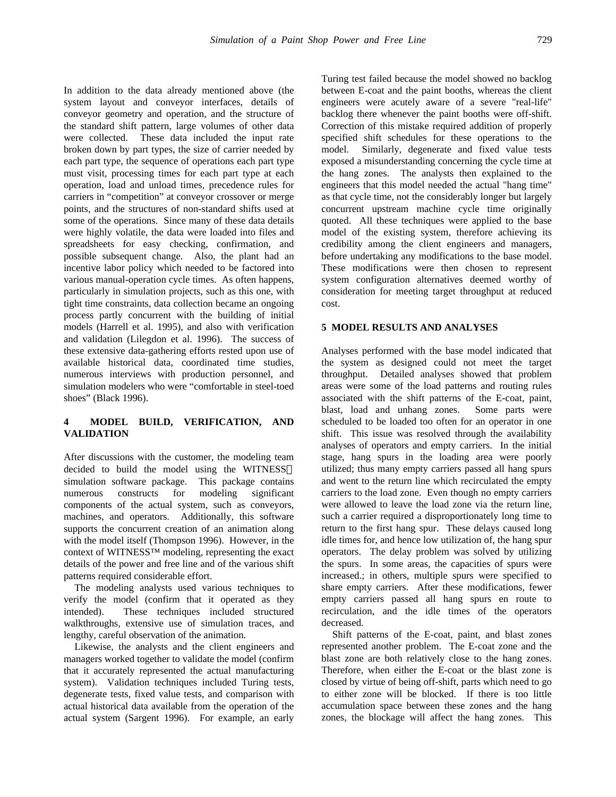In addition to the data already mentioned above (the system layout and conveyor interfaces, details of conveyor geometry and operation, and the structure of the standard shift pattern, large volumes of other data were collected. These data included the input rate broken down by part types, the size of carrier needed by each part type, the sequence of operations each part type must visit, processing times for each part type at each operation, load and unload times, precedence rules for carriers in "competition" at conveyor crossover or merge points, and the structures of non-standard shifts used at some of the operations. Since many of these data details were highly volatile, the data were loaded into files and spreadsheets for easy checking, confirmation, and possible subsequent change. Also, the plant had an incentive labor policy which needed to be factored into various manual-operation cycle times. As often happens, particularly in simulation projects, such as this one, with tight time constraints, data collection became an ongoing process partly concurrent with the building of initial models (Harrell et al. 1995), and also with verification and validation (Lilegdon et al. 1996). The success of these extensive data-gathering efforts rested upon use of available historical data, coordinated time studies, numerous interviews with production personnel, and simulation modelers who were "comfortable in steel-toed shoes" (Black 1996).

# **4 MODEL BUILD, VERIFICATION, AND VALIDATION**

After discussions with the customer, the modeling team decided to build the model using the WITNESS simulation software package. This package contains numerous constructs for modeling significant components of the actual system, such as conveyors, machines, and operators. Additionally, this software supports the concurrent creation of an animation along with the model itself (Thompson 1996). However, in the context of WITNESS™ modeling, representing the exact details of the power and free line and of the various shift patterns required considerable effort.

The modeling analysts used various techniques to verify the model (confirm that it operated as they intended). These techniques included structured walkthroughs, extensive use of simulation traces, and lengthy, careful observation of the animation.

Likewise, the analysts and the client engineers and managers worked together to validate the model (confirm that it accurately represented the actual manufacturing system). Validation techniques included Turing tests, degenerate tests, fixed value tests, and comparison with actual historical data available from the operation of the actual system (Sargent 1996). For example, an early

Turing test failed because the model showed no backlog between E-coat and the paint booths, whereas the client engineers were acutely aware of a severe "real-life" backlog there whenever the paint booths were off-shift. Correction of this mistake required addition of properly specified shift schedules for these operations to the model. Similarly, degenerate and fixed value tests exposed a misunderstanding concerning the cycle time at the hang zones. The analysts then explained to the engineers that this model needed the actual "hang time" as that cycle time, not the considerably longer but largely concurrent upstream machine cycle time originally quoted. All these techniques were applied to the base model of the existing system, therefore achieving its credibility among the client engineers and managers, before undertaking any modifications to the base model. These modifications were then chosen to represent system configuration alternatives deemed worthy of consideration for meeting target throughput at reduced cost.

## **5 MODEL RESULTS AND ANALYSES**

Analyses performed with the base model indicated that the system as designed could not meet the target throughput. Detailed analyses showed that problem areas were some of the load patterns and routing rules associated with the shift patterns of the E-coat, paint, blast, load and unhang zones. Some parts were scheduled to be loaded too often for an operator in one shift. This issue was resolved through the availability analyses of operators and empty carriers. In the initial stage, hang spurs in the loading area were poorly utilized; thus many empty carriers passed all hang spurs and went to the return line which recirculated the empty carriers to the load zone. Even though no empty carriers were allowed to leave the load zone via the return line, such a carrier required a disproportionately long time to return to the first hang spur. These delays caused long idle times for, and hence low utilization of, the hang spur operators. The delay problem was solved by utilizing the spurs. In some areas, the capacities of spurs were increased.; in others, multiple spurs were specified to share empty carriers. After these modifications, fewer empty carriers passed all hang spurs en route to recirculation, and the idle times of the operators decreased.

Shift patterns of the E-coat, paint, and blast zones represented another problem. The E-coat zone and the blast zone are both relatively close to the hang zones. Therefore, when either the E-coat or the blast zone is closed by virtue of being off-shift, parts which need to go to either zone will be blocked. If there is too little accumulation space between these zones and the hang zones, the blockage will affect the hang zones. This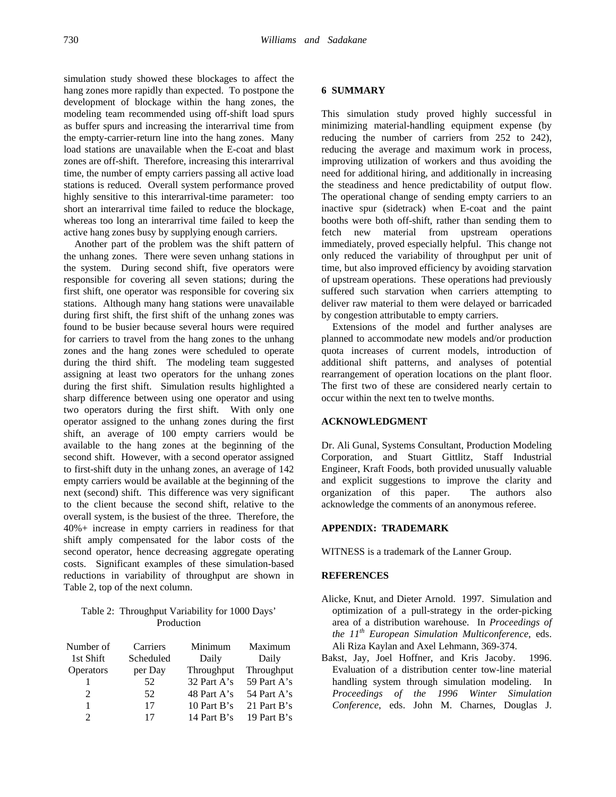simulation study showed these blockages to affect the hang zones more rapidly than expected. To postpone the development of blockage within the hang zones, the modeling team recommended using off-shift load spurs as buffer spurs and increasing the interarrival time from the empty-carrier-return line into the hang zones. Many load stations are unavailable when the E-coat and blast zones are off-shift. Therefore, increasing this interarrival time, the number of empty carriers passing all active load stations is reduced. Overall system performance proved highly sensitive to this interarrival-time parameter: too short an interarrival time failed to reduce the blockage, whereas too long an interarrival time failed to keep the active hang zones busy by supplying enough carriers.

Another part of the problem was the shift pattern of the unhang zones. There were seven unhang stations in the system. During second shift, five operators were responsible for covering all seven stations; during the first shift, one operator was responsible for covering six stations. Although many hang stations were unavailable during first shift, the first shift of the unhang zones was found to be busier because several hours were required for carriers to travel from the hang zones to the unhang zones and the hang zones were scheduled to operate during the third shift. The modeling team suggested assigning at least two operators for the unhang zones during the first shift. Simulation results highlighted a sharp difference between using one operator and using two operators during the first shift. With only one operator assigned to the unhang zones during the first shift, an average of 100 empty carriers would be available to the hang zones at the beginning of the second shift. However, with a second operator assigned to first-shift duty in the unhang zones, an average of 142 empty carriers would be available at the beginning of the next (second) shift. This difference was very significant to the client because the second shift, relative to the overall system, is the busiest of the three. Therefore, the 40%+ increase in empty carriers in readiness for that shift amply compensated for the labor costs of the second operator, hence decreasing aggregate operating costs. Significant examples of these simulation-based reductions in variability of throughput are shown in Table 2, top of the next column.

Table 2: Throughput Variability for 1000 Days' Production

| Number of | Carriers  | Minimum     | Maximum     |
|-----------|-----------|-------------|-------------|
| 1st Shift | Scheduled | Daily       | Daily       |
| Operators | per Day   | Throughput  | Throughput  |
|           | 52        | 32 Part A's | 59 Part A's |
|           | 52        | 48 Part A's | 54 Part A's |
|           | 17        | 10 Part B's | 21 Part B's |
|           | 17        | 14 Part B's | 19 Part B's |

#### **6 SUMMARY**

This simulation study proved highly successful in minimizing material-handling equipment expense (by reducing the number of carriers from 252 to 242), reducing the average and maximum work in process, improving utilization of workers and thus avoiding the need for additional hiring, and additionally in increasing the steadiness and hence predictability of output flow. The operational change of sending empty carriers to an inactive spur (sidetrack) when E-coat and the paint booths were both off-shift, rather than sending them to fetch new material from upstream operations immediately, proved especially helpful. This change not only reduced the variability of throughput per unit of time, but also improved efficiency by avoiding starvation of upstream operations. These operations had previously suffered such starvation when carriers attempting to deliver raw material to them were delayed or barricaded by congestion attributable to empty carriers.

Extensions of the model and further analyses are planned to accommodate new models and/or production quota increases of current models, introduction of additional shift patterns, and analyses of potential rearrangement of operation locations on the plant floor. The first two of these are considered nearly certain to occur within the next ten to twelve months.

#### **ACKNOWLEDGMENT**

Dr. Ali Gunal, Systems Consultant, Production Modeling Corporation, and Stuart Gittlitz, Staff Industrial Engineer, Kraft Foods, both provided unusually valuable and explicit suggestions to improve the clarity and organization of this paper. The authors also acknowledge the comments of an anonymous referee.

### **APPENDIX: TRADEMARK**

WITNESS is a trademark of the Lanner Group.

#### **REFERENCES**

- Alicke, Knut, and Dieter Arnold. 1997. Simulation and optimization of a pull-strategy in the order-picking area of a distribution warehouse. In *Proceedings of the 11th European Simulation Multiconference*, eds. Ali Riza Kaylan and Axel Lehmann, 369-374.
- Bakst, Jay, Joel Hoffner, and Kris Jacoby. 1996. Evaluation of a distribution center tow-line material handling system through simulation modeling. In *Proceedings of the 1996 Winter Simulation Conference*, eds. John M. Charnes, Douglas J.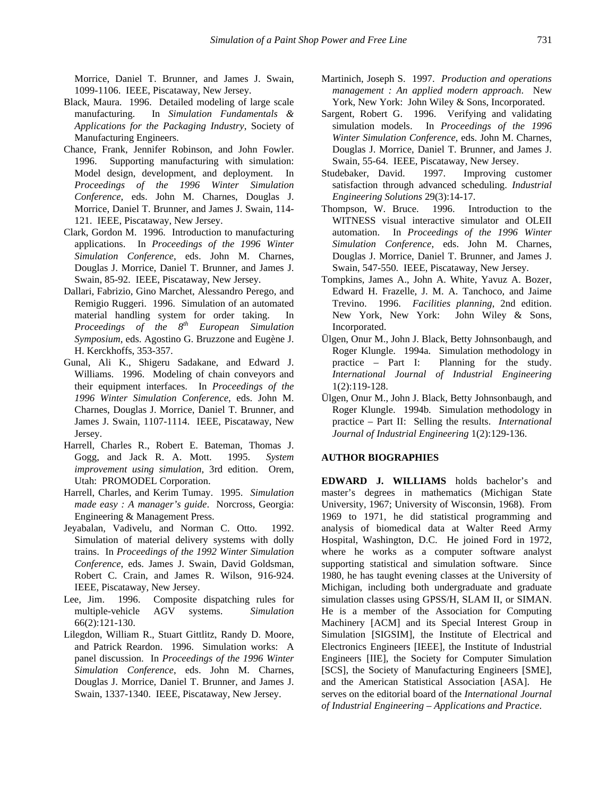Morrice, Daniel T. Brunner, and James J. Swain, 1099-1106. IEEE, Piscataway, New Jersey.

- Black, Maura. 1996. Detailed modeling of large scale manufacturing. In *Simulation Fundamentals & Applications for the Packaging Industry*, Society of Manufacturing Engineers.
- Chance, Frank, Jennifer Robinson, and John Fowler. 1996. Supporting manufacturing with simulation: Model design, development, and deployment. In *Proceedings of the 1996 Winter Simulation Conference*, eds. John M. Charnes, Douglas J. Morrice, Daniel T. Brunner, and James J. Swain, 114- 121. IEEE, Piscataway, New Jersey.
- Clark, Gordon M. 1996. Introduction to manufacturing applications. In *Proceedings of the 1996 Winter Simulation Conference*, eds. John M. Charnes, Douglas J. Morrice, Daniel T. Brunner, and James J. Swain, 85-92. IEEE, Piscataway, New Jersey.
- Dallari, Fabrizio, Gino Marchet, Alessandro Perego, and Remigio Ruggeri. 1996. Simulation of an automated material handling system for order taking. In *Proceedings of the 8th European Simulation Symposium*, eds. Agostino G. Bruzzone and Eugène J. H. Kerckhoffs, 353-357.
- Gunal, Ali K., Shigeru Sadakane, and Edward J. Williams. 1996. Modeling of chain conveyors and their equipment interfaces. In *Proceedings of the 1996 Winter Simulation Conference*, eds. John M. Charnes, Douglas J. Morrice, Daniel T. Brunner, and James J. Swain, 1107-1114. IEEE, Piscataway, New Jersey.
- Harrell, Charles R., Robert E. Bateman, Thomas J. Gogg, and Jack R. A. Mott. 1995. *System improvement using simulation*, 3rd edition. Orem, Utah: PROMODEL Corporation.
- Harrell, Charles, and Kerim Tumay. 1995. *Simulation made easy : A manager's guide*. Norcross, Georgia: Engineering & Management Press.
- Jeyabalan, Vadivelu, and Norman C. Otto. 1992. Simulation of material delivery systems with dolly trains. In *Proceedings of the 1992 Winter Simulation Conference*, eds. James J. Swain, David Goldsman, Robert C. Crain, and James R. Wilson, 916-924. IEEE, Piscataway, New Jersey.
- Lee, Jim. 1996. Composite dispatching rules for multiple-vehicle AGV systems. *Simulation* 66(2):121-130.
- Lilegdon, William R., Stuart Gittlitz, Randy D. Moore, and Patrick Reardon. 1996. Simulation works: A panel discussion. In *Proceedings of the 1996 Winter Simulation Conference*, eds. John M. Charnes, Douglas J. Morrice, Daniel T. Brunner, and James J. Swain, 1337-1340. IEEE, Piscataway, New Jersey.
- Martinich, Joseph S. 1997. *Production and operations management : An applied modern approach*. New York, New York: John Wiley & Sons, Incorporated.
- Sargent, Robert G. 1996. Verifying and validating simulation models. In *Proceedings of the 1996 Winter Simulation Conference*, eds. John M. Charnes, Douglas J. Morrice, Daniel T. Brunner, and James J. Swain, 55-64. IEEE, Piscataway, New Jersey.
- Studebaker, David. 1997. Improving customer satisfaction through advanced scheduling. *Industrial Engineering Solutions* 29(3):14-17.
- Thompson, W. Bruce. 1996. Introduction to the WITNESS visual interactive simulator and OLEII automation. In *Proceedings of the 1996 Winter Simulation Conference*, eds. John M. Charnes, Douglas J. Morrice, Daniel T. Brunner, and James J. Swain, 547-550. IEEE, Piscataway, New Jersey.
- Tompkins, James A., John A. White, Yavuz A. Bozer, Edward H. Frazelle, J. M. A. Tanchoco, and Jaime Trevino. 1996. *Facilities planning*, 2nd edition. New York, New York: John Wiley & Sons, Incorporated.
- Ülgen, Onur M., John J. Black, Betty Johnsonbaugh, and Roger Klungle. 1994a. Simulation methodology in practice – Part I: Planning for the study. *International Journal of Industrial Engineering* 1(2):119-128.
- Ülgen, Onur M., John J. Black, Betty Johnsonbaugh, and Roger Klungle. 1994b. Simulation methodology in practice – Part II: Selling the results. *International Journal of Industrial Engineering* 1(2):129-136.

#### **AUTHOR BIOGRAPHIES**

**EDWARD J. WILLIAMS** holds bachelor's and master's degrees in mathematics (Michigan State University, 1967; University of Wisconsin, 1968). From 1969 to 1971, he did statistical programming and analysis of biomedical data at Walter Reed Army Hospital, Washington, D.C. He joined Ford in 1972, where he works as a computer software analyst supporting statistical and simulation software. Since 1980, he has taught evening classes at the University of Michigan, including both undergraduate and graduate simulation classes using GPSS/H, SLAM II, or SIMAN. He is a member of the Association for Computing Machinery [ACM] and its Special Interest Group in Simulation [SIGSIM], the Institute of Electrical and Electronics Engineers [IEEE], the Institute of Industrial Engineers [IIE], the Society for Computer Simulation [SCS], the Society of Manufacturing Engineers [SME], and the American Statistical Association [ASA]. He serves on the editorial board of the *International Journal of Industrial Engineering – Applications and Practice*.